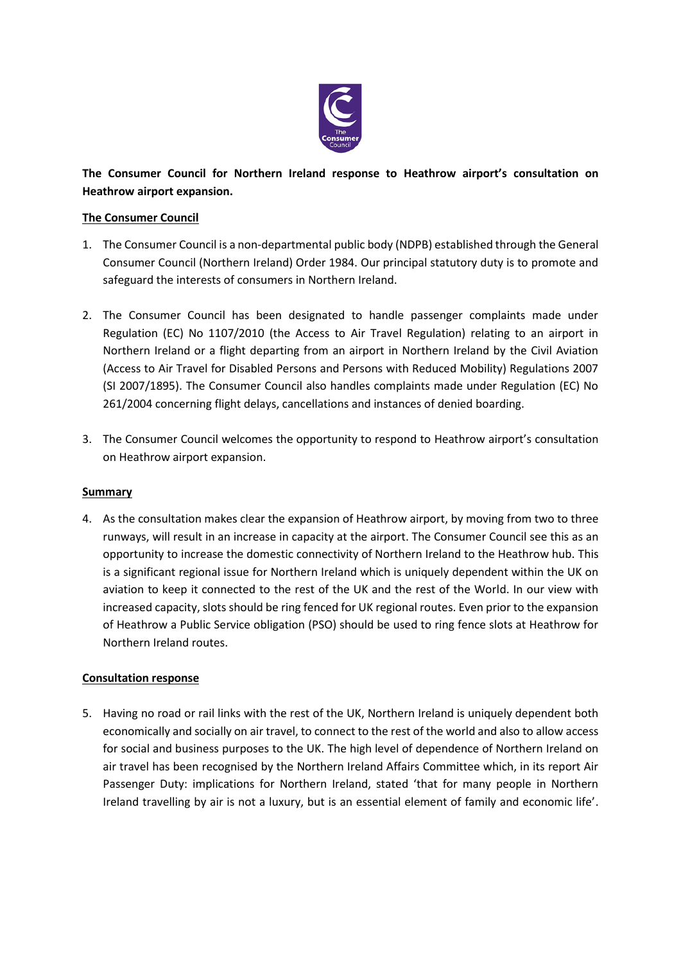

# **The Consumer Council for Northern Ireland response to Heathrow airport's consultation on Heathrow airport expansion.**

## **The Consumer Council**

- 1. The Consumer Council is a non-departmental public body (NDPB) established through the General Consumer Council (Northern Ireland) Order 1984. Our principal statutory duty is to promote and safeguard the interests of consumers in Northern Ireland.
- 2. The Consumer Council has been designated to handle passenger complaints made under Regulation (EC) No 1107/2010 (the Access to Air Travel Regulation) relating to an airport in Northern Ireland or a flight departing from an airport in Northern Ireland by the Civil Aviation (Access to Air Travel for Disabled Persons and Persons with Reduced Mobility) Regulations 2007 (SI 2007/1895). The Consumer Council also handles complaints made under Regulation (EC) No 261/2004 concerning flight delays, cancellations and instances of denied boarding.
- 3. The Consumer Council welcomes the opportunity to respond to Heathrow airport's consultation on Heathrow airport expansion.

### **Summary**

4. As the consultation makes clear the expansion of Heathrow airport, by moving from two to three runways, will result in an increase in capacity at the airport. The Consumer Council see this as an opportunity to increase the domestic connectivity of Northern Ireland to the Heathrow hub. This is a significant regional issue for Northern Ireland which is uniquely dependent within the UK on aviation to keep it connected to the rest of the UK and the rest of the World. In our view with increased capacity, slots should be ring fenced for UK regional routes. Even prior to the expansion of Heathrow a Public Service obligation (PSO) should be used to ring fence slots at Heathrow for Northern Ireland routes.

### **Consultation response**

5. Having no road or rail links with the rest of the UK, Northern Ireland is uniquely dependent both economically and socially on air travel, to connect to the rest of the world and also to allow access for social and business purposes to the UK. The high level of dependence of Northern Ireland on air travel has been recognised by the Northern Ireland Affairs Committee which, in its report Air Passenger Duty: implications for Northern Ireland, stated 'that for many people in Northern Ireland travelling by air is not a luxury, but is an essential element of family and economic life'.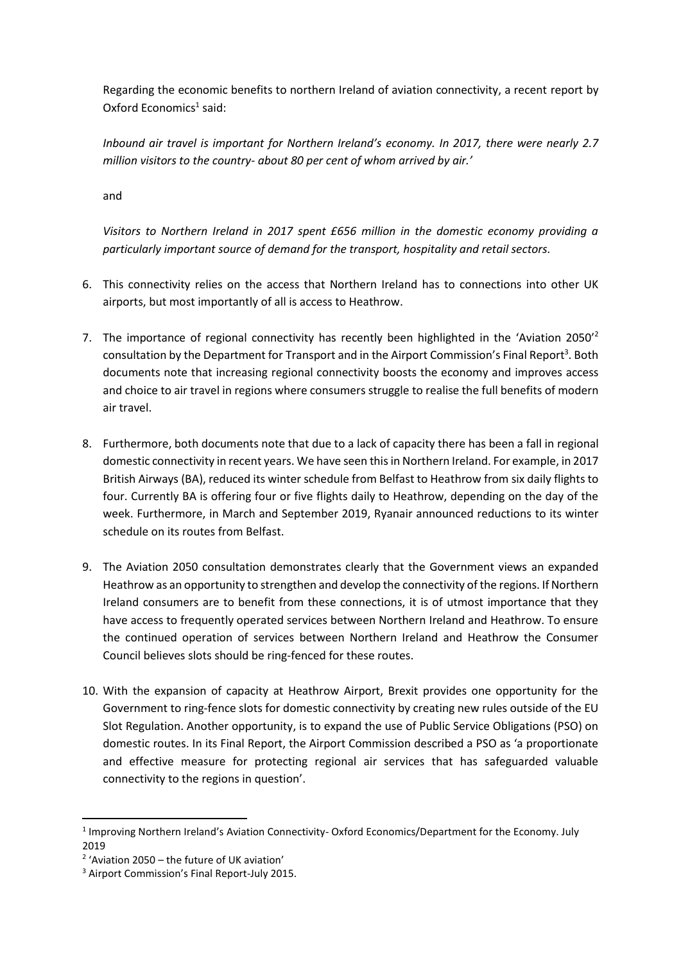Regarding the economic benefits to northern Ireland of aviation connectivity, a recent report by Oxford Economics<sup>1</sup> said:

*Inbound air travel is important for Northern Ireland's economy. In 2017, there were nearly 2.7 million visitors to the country- about 80 per cent of whom arrived by air.'*

and

*Visitors to Northern Ireland in 2017 spent £656 million in the domestic economy providing a particularly important source of demand for the transport, hospitality and retail sectors.*

- 6. This connectivity relies on the access that Northern Ireland has to connections into other UK airports, but most importantly of all is access to Heathrow.
- 7. The importance of regional connectivity has recently been highlighted in the 'Aviation  $2050^2$ consultation by the Department for Transport and in the Airport Commission's Final Report<sup>3</sup>. Both documents note that increasing regional connectivity boosts the economy and improves access and choice to air travel in regions where consumers struggle to realise the full benefits of modern air travel.
- 8. Furthermore, both documents note that due to a lack of capacity there has been a fall in regional domestic connectivity in recent years. We have seen this in Northern Ireland. For example, in 2017 British Airways (BA), reduced its winter schedule from Belfast to Heathrow from six daily flights to four. Currently BA is offering four or five flights daily to Heathrow, depending on the day of the week. Furthermore, in March and September 2019, Ryanair announced reductions to its winter schedule on its routes from Belfast.
- 9. The Aviation 2050 consultation demonstrates clearly that the Government views an expanded Heathrow as an opportunity to strengthen and develop the connectivity of the regions. If Northern Ireland consumers are to benefit from these connections, it is of utmost importance that they have access to frequently operated services between Northern Ireland and Heathrow. To ensure the continued operation of services between Northern Ireland and Heathrow the Consumer Council believes slots should be ring-fenced for these routes.
- 10. With the expansion of capacity at Heathrow Airport, Brexit provides one opportunity for the Government to ring-fence slots for domestic connectivity by creating new rules outside of the EU Slot Regulation. Another opportunity, is to expand the use of Public Service Obligations (PSO) on domestic routes. In its Final Report, the Airport Commission described a PSO as 'a proportionate and effective measure for protecting regional air services that has safeguarded valuable connectivity to the regions in question'.

**.** 

<sup>&</sup>lt;sup>1</sup> Improving Northern Ireland's Aviation Connectivity-Oxford Economics/Department for the Economy. July 2019

<sup>2</sup> 'Aviation 2050 – the future of UK aviation'

<sup>&</sup>lt;sup>3</sup> Airport Commission's Final Report-July 2015.